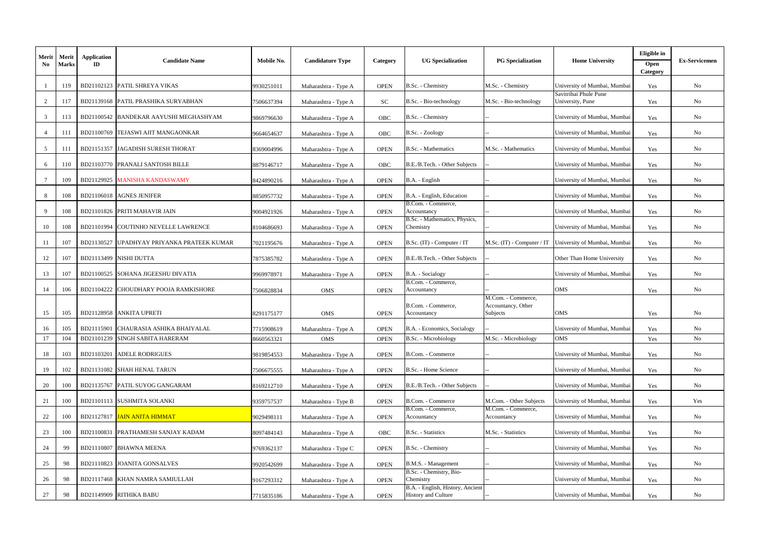| Merit          | Merit        | <b>Application</b> |                                        |            |                         |             |                                                                |                                          |                                                       | Eligible in          |                      |
|----------------|--------------|--------------------|----------------------------------------|------------|-------------------------|-------------|----------------------------------------------------------------|------------------------------------------|-------------------------------------------------------|----------------------|----------------------|
| N <sub>0</sub> | <b>Marks</b> | ID                 | <b>Candidate Name</b>                  | Mobile No. | <b>Candidature Type</b> | Category    | <b>UG</b> Specialization                                       | <b>PG</b> Specialization                 | <b>Home University</b>                                | Open                 | <b>Ex-Servicemen</b> |
|                |              |                    |                                        |            |                         |             |                                                                |                                          |                                                       | Category             |                      |
|                | 119          |                    | BD21102123 PATIL SHREYA VIKAS          | 9930251011 | Maharashtra - Type A    | <b>OPEN</b> | B.Sc. - Chemistry                                              | M.Sc. - Chemistry                        | University of Mumbai, Mumbai<br>Savitribai Phule Pune | Yes                  | No                   |
| 2              | 117          |                    | BD21139168 PATIL PRASHIKA SURYABHAN    | 7506637394 | Maharashtra - Type A    | SC          | B.Sc. - Bio-technology                                         | M.Sc. - Bio-technology                   | University, Pune                                      | Yes                  | No                   |
| 3              | 113          |                    | BD21100542 BANDEKAR AAYUSHI MEGHASHYAM | 9869796630 | Maharashtra - Type A    | OBC         | B.Sc. - Chemistry                                              |                                          | University of Mumbai, Mumbai                          | Yes                  | No                   |
|                | 111          |                    | BD21100769  TEJASWI AJIT MANGAONKAR    | 9664654637 | Maharashtra - Type A    | OBC         | B.Sc. - Zoology                                                |                                          | University of Mumbai, Mumbai                          | Yes                  | No                   |
| 5              | 111          |                    | BD21151357 JAGADISH SURESH THORAT      | 8369004996 | Maharashtra - Type A    | <b>OPEN</b> | B.Sc. - Mathematics                                            | M.Sc. - Mathematics                      | University of Mumbai, Mumbai                          | Yes                  | No                   |
| 6              | 110          |                    | BD21103770 PRANALI SANTOSH BILLE       | 8879146717 | Maharashtra - Type A    | OBC         | B.E./B.Tech. - Other Subjects                                  |                                          | University of Mumbai, Mumbai                          | Yes                  | N <sub>0</sub>       |
|                | 109          |                    | BD21129925 MANISHA KANDASWAMY          | 8424890216 | Maharashtra - Type A    | <b>OPEN</b> | B.A. - English                                                 |                                          | University of Mumbai, Mumbai                          | Yes                  | N <sub>0</sub>       |
| 8              | 108          |                    | BD21106018 AGNES JENIFER               | 8850957732 | Maharashtra - Type A    | <b>OPEN</b> | B.A. - English, Education                                      |                                          | University of Mumbai, Mumbai                          | Yes                  | N <sub>0</sub>       |
| -9             | 108          |                    | BD21101826 PRITI MAHAVIR JAIN          | 9004921926 | Maharashtra - Type A    | <b>OPEN</b> | B.Com. - Commerce,<br>Accountancy                              |                                          | University of Mumbai, Mumbai                          | Yes                  | N <sub>0</sub>       |
| 10             | 108          |                    | BD21101994 COUTINHO NEVELLE LAWRENCE   | 8104686693 | Maharashtra - Type A    | <b>OPEN</b> | B.Sc. - Mathematics, Physics,<br>Chemistry                     |                                          | University of Mumbai, Mumbai                          | Yes                  | No                   |
| 11             | 107          | BD21130527         | UPADHYAY PRIYANKA PRATEEK KUMAR        | 7021195676 | Maharashtra - Type A    | <b>OPEN</b> | B.Sc. (IT) - Computer / IT                                     | M.Sc. (IT) - Computer / IT               | University of Mumbai, Mumbai                          | Yes                  | No                   |
| 12             | 107          |                    | BD21113499 NISHI DUTTA                 | 7875385782 | Maharashtra - Type A    | <b>OPEN</b> | B.E./B.Tech. - Other Subjects                                  |                                          | Other Than Home University                            | Yes                  | No                   |
| 13             | 107          |                    | BD21100525 SOHANA JIGEESHU DIVATIA     | 9969978971 | Maharashtra - Type A    | <b>OPEN</b> | B.A. - Socialogy                                               |                                          | University of Mumbai, Mumbai                          | Yes                  | No                   |
| 14             | 106          | BD21104222         | CHOUDHARY POOJA RAMKISHORE             | 7506828834 | OMS                     | <b>OPEN</b> | B.Com. - Commerce,<br>Accountancy                              |                                          | OMS                                                   | Yes                  | No                   |
|                |              |                    |                                        |            |                         |             | B.Com. - Commerce,                                             | M.Com. - Commerce,<br>Accountancy, Other |                                                       |                      |                      |
| 15             | 105          |                    | BD21128958 ANKITA UPRETI               | 8291175177 | OMS                     | <b>OPEN</b> | Accountancy                                                    | Subjects                                 | OMS                                                   | Yes                  | No                   |
| 16             | 105          | BD21115901         | CHAURASIA ASHIKA BHAIYALAL             | 7715908619 | Maharashtra - Type A    | <b>OPEN</b> | B.A. - Economics, Socialogy                                    |                                          | University of Mumbai, Mumbai                          | Yes                  | No                   |
| 17             | 104          |                    | BD21101239 SINGH SABITA HARERAM        | 8660563321 | OMS                     | <b>OPEN</b> | B.Sc. - Microbiology                                           | M.Sc. - Microbiology                     | OMS                                                   | $\operatorname{Yes}$ | No                   |
| 18             | 103          | BD21103201         | <b>ADELE RODRIGUES</b>                 | 9819854553 | Maharashtra - Type A    | <b>OPEN</b> | B.Com. - Commerce                                              |                                          | University of Mumbai, Mumbai                          | Yes                  | No                   |
| 19             | 102          |                    | BD21131082 SHAH HENAL TARUN            | 7506675555 | Maharashtra - Type A    | <b>OPEN</b> | B.Sc. - Home Science                                           |                                          | University of Mumbai, Mumbai                          | Yes                  | No                   |
| 20             | 100          |                    | BD21135767 PATIL SUYOG GANGARAM        | 8169212710 | Maharashtra - Type A    | <b>OPEN</b> | B.E./B.Tech. - Other Subjects                                  |                                          | University of Mumbai, Mumbai                          | Yes                  | No                   |
| 21             | 100          |                    | BD21101113 SUSHMITA SOLANKI            | 9359757537 | Maharashtra - Type B    | <b>OPEN</b> | B.Com. - Commerce                                              | M.Com. - Other Subjects                  | University of Mumbai, Mumbai                          | Yes                  | Yes                  |
| 22             | 100          |                    | BD21127817 JAIN ANITA HIMMAT           | 9029498111 | Maharashtra - Type A    | <b>OPEN</b> | B.Com. - Commerce,<br>Accountancy                              | M.Com. - Commerce,<br>Accountancy        | University of Mumbai, Mumbai                          | Yes                  | No                   |
| 23             | 100          | BD21100831         | <b>PRATHAMESH SANJAY KADAM</b>         | 8097484143 | Maharashtra - Type A    | OBC         | <b>B.Sc.</b> - Statistics                                      | M.Sc. - Statistics                       | University of Mumbai, Mumbai                          | Yes                  | No                   |
| 24             | 99           |                    | BD21110807 BHAWNA MEENA                | 9769362137 | Maharashtra - Type C    | <b>OPEN</b> | B.Sc. - Chemistry                                              |                                          | University of Mumbai, Mumbai                          | Yes                  | No                   |
| 25             | 98           |                    | BD21110823 JOANITA GONSALVES           | 9920542699 | Maharashtra - Type A    | <b>OPEN</b> | B.M.S. - Management                                            |                                          | University of Mumbai, Mumbai                          | Yes                  | No                   |
| 26             | 98           |                    | BD21117468 KHAN NAMRA SAMIULLAH        | 9167293312 | Maharashtra - Type A    | <b>OPEN</b> | B.Sc. - Chemistry, Bio-<br>Chemistry                           |                                          | University of Mumbai, Mumbai                          | Yes                  | No                   |
| 27             | 98           |                    | BD21149909 RITHIKA BABU                | 7715835186 | Maharashtra - Type A    | <b>OPEN</b> | B.A. - English, History, Ancient<br><b>History and Culture</b> |                                          | University of Mumbai, Mumbai                          | Yes                  | No                   |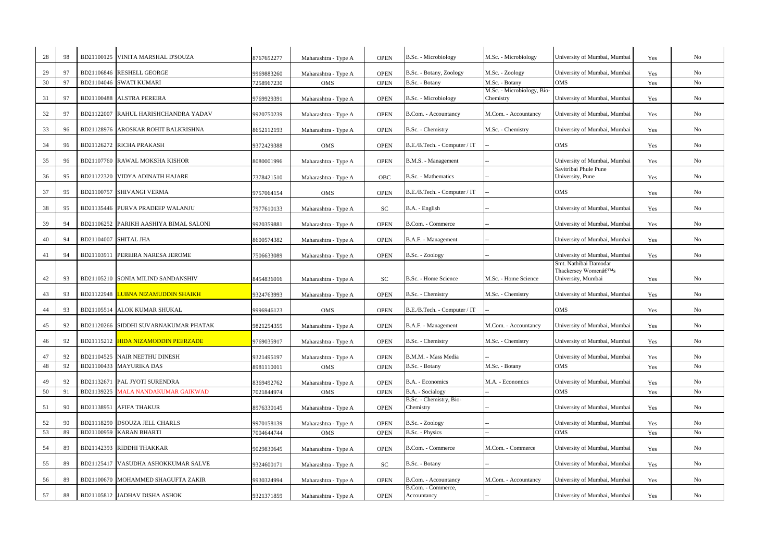| 28 | 98 |                       | BD21100125 VINITA MARSHAL D'SOUZA      | 8767652277 | Maharashtra - Type A | <b>OPEN</b>   | B.Sc. - Microbiology                       | M.Sc. - Microbiology                    | University of Mumbai, Mumbai                | Yes | No       |
|----|----|-----------------------|----------------------------------------|------------|----------------------|---------------|--------------------------------------------|-----------------------------------------|---------------------------------------------|-----|----------|
| 29 | 97 |                       | BD21106846 RESHELL GEORGE              | 9969883260 | Maharashtra - Type A | <b>OPEN</b>   | B.Sc. - Botany, Zoology                    | M.Sc. - Zoology                         | University of Mumbai, Mumbai                | Yes | No       |
| 30 | 97 |                       | BD21104046 SWATI KUMARI                | 7258967230 | <b>OMS</b>           | <b>OPEN</b>   | B.Sc. - Botany                             | M.Sc. - Botany                          | <b>OMS</b>                                  | Yes | No       |
| 31 | 97 |                       | BD21100488 ALSTRA PEREIRA              | 9769929391 | Maharashtra - Type A | <b>OPEN</b>   | B.Sc. - Microbiology                       | M.Sc. - Microbiology, Bio-<br>Chemistry | University of Mumbai, Mumbai                | Yes | No       |
| 32 | 97 |                       | BD21122007 RAHUL HARISHCHANDRA YADAV   | 9920750239 | Maharashtra - Type A | <b>OPEN</b>   | B.Com. - Accountancy                       | M.Com. - Accountancy                    | University of Mumbai, Mumbai                | Yes | No       |
| 33 | 96 |                       | BD21128976 AROSKAR ROHIT BALKRISHNA    | 8652112193 | Maharashtra - Type A | <b>OPEN</b>   | B.Sc. - Chemistry                          | M.Sc. - Chemistry                       | University of Mumbai, Mumbai                | Yes | No       |
| 34 | 96 |                       | BD21126272 RICHA PRAKASH               | 9372429388 | OMS                  | <b>OPEN</b>   | B.E./B.Tech. - Computer / IT               |                                         | <b>OMS</b>                                  | Yes | No       |
| 35 | 96 |                       | BD21107760 RAWAL MOKSHA KISHOR         | 8080001996 | Maharashtra - Type A | <b>OPEN</b>   | B.M.S. - Management                        |                                         | University of Mumbai, Mumbai                | Yes | No       |
| 36 | 95 |                       | BD21122320 VIDYA ADINATH HAJARE        | 7378421510 | Maharashtra - Type A | OBC           | B.Sc. - Mathematics                        |                                         | Savitribai Phule Pune<br>University, Pune   | Yes | No       |
| 37 | 95 |                       | BD21100757 SHIVANGI VERMA              | 9757064154 | OMS                  | <b>OPEN</b>   | B.E./B.Tech. - Computer / IT               |                                         | <b>OMS</b>                                  | Yes | No       |
| 38 | 95 |                       | BD21135446 PURVA PRADEEP WALANJU       | 7977610133 | Maharashtra - Type A | <b>SC</b>     | B.A. - English                             |                                         | University of Mumbai, Mumbai                | Yes | No       |
| 39 | 94 |                       | BD21106252 PARIKH AASHIYA BIMAL SALONI | 9920359881 | Maharashtra - Type A | <b>OPEN</b>   | B.Com. - Commerce                          |                                         | University of Mumbai, Mumbai                | Yes | No       |
| 40 | 94 | BD21104007 SHITAL JHA |                                        | 8600574382 | Maharashtra - Type A | <b>OPEN</b>   | B.A.F. - Management                        |                                         | University of Mumbai, Mumbai                | Yes | No       |
| 41 | 94 | BD21103911            | <b>PEREIRA NARESA JEROME</b>           | 7506633089 | Maharashtra - Type A | <b>OPEN</b>   | B.Sc. - Zoology                            |                                         | University of Mumbai, Mumbai                | Yes | No       |
|    |    |                       |                                        |            |                      |               |                                            |                                         | Smt. Nathibai Damodar<br>Thackersey Women's |     |          |
| 42 | 93 |                       | BD21105210 SONIA MILIND SANDANSHIV     | 8454836016 | Maharashtra - Type A | <sub>SC</sub> | B.Sc. - Home Science                       | M.Sc. - Home Science                    | University, Mumbai                          | Yes | No       |
| 43 | 93 |                       | BD21122948 LUBNA NIZAMUDDIN SHAIKH     | 9324763993 | Maharashtra - Type A | <b>OPEN</b>   | B.Sc. - Chemistry                          | M.Sc. - Chemistry                       | University of Mumbai, Mumbai                | Yes | No       |
| 44 | 93 |                       | BD21105514 ALOK KUMAR SHUKAL           | 9996946123 | OMS                  | <b>OPEN</b>   | B.E./B.Tech. - Computer / IT               |                                         | <b>OMS</b>                                  | Yes | No       |
| 45 | 92 | BD21120266            | SIDDHI SUVARNAKUMAR PHATAK             | 9821254355 | Maharashtra - Type A | <b>OPEN</b>   | B.A.F. - Management                        | M.Com. - Accountancy                    | University of Mumbai, Mumbai                | Yes | No.      |
| 46 | 92 |                       | BD21115212 HIDA NIZAMODDIN PEERZADE    | 9769035917 | Maharashtra - Type A | <b>OPEN</b>   | B.Sc. - Chemistry                          | M.Sc. - Chemistry                       | University of Mumbai, Mumbai                | Yes | No       |
| 47 | 92 |                       | BD21104525 NAIR NEETHU DINESH          | 9321495197 | Maharashtra - Type A | <b>OPEN</b>   | B.M.M. - Mass Media                        |                                         | University of Mumbai, Mumbai                | Yes | No       |
| 48 | 92 |                       | BD21100433 MAYURIKA DAS                | 8981110011 | OMS                  | <b>OPEN</b>   | B.Sc. - Botany                             | M.Sc. - Botany                          | OMS                                         | Yes | No       |
| 49 | 92 |                       | BD21132671 PAL JYOTI SURENDRA          | 8369492762 | Maharashtra - Type A | <b>OPEN</b>   | B.A. - Economics                           | M.A. - Economics                        | University of Mumbai, Mumbai                | Yes | No       |
| 50 | 91 | BD21139225            | <b>MALA NANDAKUMAR GAIKWAD</b>         | 7021844974 | OMS                  | <b>OPEN</b>   | B.A. - Socialogy                           |                                         | <b>OMS</b>                                  | Yes | No       |
| 51 | 90 | BD21138951            | <b>AFIFA THAKUR</b>                    | 8976330145 | Maharashtra - Type A | <b>OPEN</b>   | B.Sc. - Chemistry, Bio-<br>Chemistry       |                                         | University of Mumbai, Mumbai                | Yes | No       |
| 52 | 90 |                       | BD21118290 DSOUZA JELL CHARLS          | 9970158139 | Maharashtra - Type A | <b>OPEN</b>   | B.Sc. - Zoology                            |                                         | University of Mumbai, Mumbai                | Yes | No       |
| 53 | 89 |                       | BD21100959 KARAN BHARTI                | 7004644744 | OMS                  | <b>OPEN</b>   | B.Sc. - Physics                            |                                         | OMS                                         | Yes | $\rm No$ |
| 54 | 89 |                       | BD21142393 RIDDHI THAKKAR              | 9029830645 | Maharashtra - Type A | <b>OPEN</b>   | B.Com. - Commerce                          | M.Com. - Commerce                       | University of Mumbai, Mumbai                | Yes | No       |
| 55 | 89 |                       | BD21125417 VASUDHA ASHOKKUMAR SALVE    | 9324600171 | Maharashtra - Type A | <b>SC</b>     | B.Sc. - Botany                             |                                         | University of Mumbai, Mumbai                | Yes | No       |
| 56 | 89 |                       | BD21100670 MOHAMMED SHAGUFTA ZAKIR     | 9930324994 | Maharashtra - Type A | <b>OPEN</b>   | B.Com. - Accountancy<br>B.Com. - Commerce, | M.Com. - Accountancy                    | University of Mumbai, Mumbai                | Yes | No       |
| 57 | 88 |                       | BD21105812 JADHAV DISHA ASHOK          | 9321371859 | Maharashtra - Type A | <b>OPEN</b>   | Accountancy                                |                                         | University of Mumbai, Mumbai                | Yes | No       |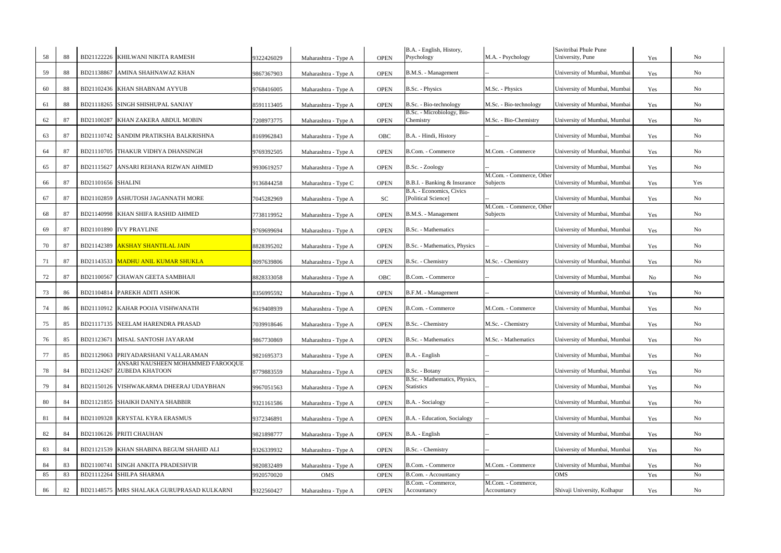|    |    |                    |                                                            |            |                      |             | B.A. - English, History,                           |                                      | Savitribai Phule Pune        |     |          |
|----|----|--------------------|------------------------------------------------------------|------------|----------------------|-------------|----------------------------------------------------|--------------------------------------|------------------------------|-----|----------|
| 58 | 88 |                    | BD21122226 KHILWANI NIKITA RAMESH                          | 9322426029 | Maharashtra - Type A | <b>OPEN</b> | Psychology                                         | M.A. - Psychology                    | University, Pune             | Yes | No       |
| 59 | 88 | BD21138867         | JAMINA SHAHNAWAZ KHAN                                      | 9867367903 | Maharashtra - Type A | <b>OPEN</b> | B.M.S. - Management                                |                                      | University of Mumbai, Mumbai | Yes | No       |
| 60 | 88 |                    | BD21102436 KHAN SHABNAM AYYUB                              | 9768416005 | Maharashtra - Type A | <b>OPEN</b> | B.Sc. - Physics                                    | M.Sc. - Physics                      | University of Mumbai, Mumbai | Yes | No       |
| 61 | 88 |                    | BD21118265 SINGH SHISHUPAL SANJAY                          | 8591113405 | Maharashtra - Type A | <b>OPEN</b> | B.Sc. - Bio-technology                             | M.Sc. - Bio-technology               | University of Mumbai, Mumbai | Yes | No       |
| 62 | 87 | BD21100287         | KHAN ZAKERA ABDUL MOBIN                                    | 7208973775 | Maharashtra - Type A | <b>OPEN</b> | B.Sc. - Microbiology, Bio-<br>Chemistry            | M.Sc. - Bio-Chemistry                | University of Mumbai, Mumbai | Yes | No       |
| 63 | 87 |                    | BD21110742 SANDIM PRATIKSHA BALKRISHNA                     | 8169962843 | Maharashtra - Type A | OBC         | B.A. - Hindi, History                              |                                      | University of Mumbai, Mumbai | Yes | No       |
| 64 | 87 |                    | BD21110705 THAKUR VIDHYA DHANSINGH                         | 9769392505 | Maharashtra - Type A | <b>OPEN</b> | B.Com. - Commerce                                  | M.Com. - Commerce                    | University of Mumbai, Mumbai | Yes | No       |
| 65 | 87 | BD21115627         | JANSARI REHANA RIZWAN AHMED                                | 9930619257 | Maharashtra - Type A | <b>OPEN</b> | B.Sc. - Zoology                                    |                                      | University of Mumbai, Mumbai | Yes | No       |
| 66 | 87 | BD21101656 SHALINI |                                                            | 9136844258 | Maharashtra - Type C | <b>OPEN</b> | B.B.I. - Banking & Insurance                       | M.Com. - Commerce, Other<br>Subjects | University of Mumbai, Mumbai | Yes | Yes      |
| 67 | 87 |                    | BD21102859 ASHUTOSH JAGANNATH MORE                         | 7045282969 | Maharashtra - Type A | <b>SC</b>   | B.A. - Economics, Civics<br>[Political Science]    |                                      | University of Mumbai, Mumbai | Yes | No       |
| 68 | 87 |                    | BD21140998 KHAN SHIFA RASHID AHMED                         | 7738119952 | Maharashtra - Type A | <b>OPEN</b> | B.M.S. - Management                                | M.Com. - Commerce, Other<br>Subjects | University of Mumbai, Mumbai | Yes | No       |
| 69 | 87 |                    | BD21101890 IVY PRAYLINE                                    | 9769699694 | Maharashtra - Type A | <b>OPEN</b> | <b>B.Sc.</b> - Mathematics                         |                                      | University of Mumbai, Mumbai | Yes | No       |
| 70 | 87 |                    | BD21142389 AKSHAY SHANTILAL JAIN                           | 8828395202 | Maharashtra - Type A | <b>OPEN</b> | B.Sc. - Mathematics, Physics                       |                                      | University of Mumbai, Mumbai | Yes | No       |
| 71 | 87 |                    | BD21143533 MADHU ANIL KUMAR SHUKLA                         | 8097639806 | Maharashtra - Type A | <b>OPEN</b> | B.Sc. - Chemistry                                  | M.Sc. - Chemistry                    | University of Mumbai, Mumbai | Yes | No       |
| 72 | 87 |                    | BD21100567 CHAWAN GEETA SAMBHAJI                           | 8828333058 | Maharashtra - Type A | OBC         | B.Com. - Commerce                                  |                                      | University of Mumbai, Mumbai | No  | No       |
| 73 | 86 |                    | BD21104814 PAREKH ADITI ASHOK                              | 8356995592 | Maharashtra - Type A | <b>OPEN</b> | B.F.M. - Management                                |                                      | University of Mumbai, Mumbai | Yes | No       |
| 74 | 86 |                    | BD21110912 KAHAR POOJA VISHWANATH                          | 9619408939 | Maharashtra - Type A | <b>OPEN</b> | B.Com. - Commerce                                  | M.Com. - Commerce                    | University of Mumbai, Mumbai | Yes | No       |
| 75 | 85 |                    | BD21117135 NEELAM HARENDRA PRASAD                          | 7039918646 | Maharashtra - Type A | <b>OPEN</b> | B.Sc. - Chemistry                                  | M.Sc. - Chemistry                    | University of Mumbai, Mumbai | Yes | No       |
| 76 | 85 |                    | BD21123671 MISAL SANTOSH JAYARAM                           | 9867730869 | Maharashtra - Type A | <b>OPEN</b> | B.Sc. - Mathematics                                | M.Sc. - Mathematics                  | University of Mumbai, Mumbai | Yes | $\rm No$ |
| 77 | 85 | BD21129063         | PRIYADARSHANI VALLARAMAN                                   | 9821695373 | Maharashtra - Type A | <b>OPEN</b> | B.A. - English                                     |                                      | University of Mumbai, Mumbai | Yes | No       |
| 78 | 84 | BD21124267         | ANSARI NAUSHEEN MOHAMMED FAROOQUE<br><b>ZUBEDA KHATOON</b> | 8779883559 | Maharashtra - Type A | <b>OPEN</b> | B.Sc. - Botany                                     |                                      | University of Mumbai, Mumbai | Yes | No       |
| 79 | 84 |                    | BD21150126 VISHWAKARMA DHEERAJ UDAYBHAN                    | 9967051563 | Maharashtra - Type A | <b>OPEN</b> | B.Sc. - Mathematics, Physics,<br><b>Statistics</b> |                                      | University of Mumbai, Mumbai | Yes | No       |
| 80 | 84 |                    | BD21121855 SHAIKH DANIYA SHABBIR                           | 9321161586 | Maharashtra - Type A | <b>OPEN</b> | B.A. - Socialogy                                   |                                      | University of Mumbai, Mumbai | Yes | No       |
| 81 | 84 |                    | BD21109328 KRYSTAL KYRA ERASMUS                            | 9372346891 | Maharashtra - Type A | <b>OPEN</b> | B.A. - Education, Socialogy                        |                                      | University of Mumbai, Mumbai | Yes | No       |
| 82 | 84 |                    | BD21106126 PRITI CHAUHAN                                   | 9821898777 | Maharashtra - Type A | <b>OPEN</b> | B.A. - English                                     |                                      | University of Mumbai, Mumbai | Yes | No       |
| 83 | 84 |                    | BD21121539 KHAN SHABINA BEGUM SHAHID ALI                   | 9326339932 | Maharashtra - Type A | <b>OPEN</b> | B.Sc. - Chemistry                                  |                                      | University of Mumbai, Mumbai | Yes | No       |
| 84 | 83 | BD21100741         | SINGH ANKITA PRADESHVIR                                    | 9820832489 | Maharashtra - Type A | <b>OPEN</b> | B.Com. - Commerce                                  | M.Com. - Commerce                    | University of Mumbai, Mumbai | Yes | No       |
| 85 | 83 |                    | BD21112264 SHILPA SHARMA                                   | 9920570020 | OMS                  | <b>OPEN</b> | <b>B.Com. - Accountancy</b>                        |                                      | OMS                          | Yes | No       |
|    |    |                    |                                                            |            |                      |             | B.Com. - Commerce,                                 | M.Com. - Commerce,                   |                              |     |          |
| 86 | 82 |                    | BD21148575 MRS SHALAKA GURUPRASAD KULKARNI                 | 9322560427 | Maharashtra - Type A | <b>OPEN</b> | Accountancy                                        | Accountancy                          | Shivaji University, Kolhapur | Yes | No       |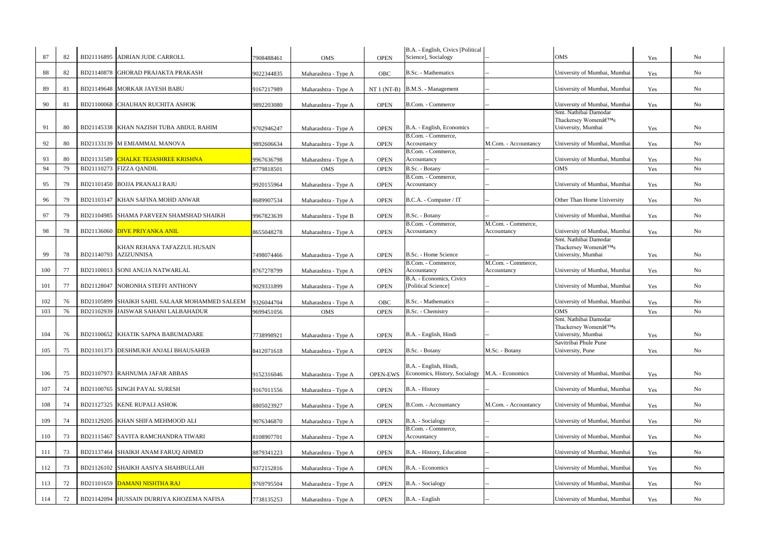|     |    |            |                                                |            |                      |                 | B.A. - English, Civics [Political  |                                   |                                                       |                      |                |
|-----|----|------------|------------------------------------------------|------------|----------------------|-----------------|------------------------------------|-----------------------------------|-------------------------------------------------------|----------------------|----------------|
| 87  | 82 |            | BD21116895 ADRIAN JUDE CARROLL                 | 7908488461 | OMS                  | <b>OPEN</b>     | Science], Socialogy                |                                   | <b>OMS</b>                                            | Yes                  | No             |
| 88  | 82 |            | BD21140878 GHORAD PRAJAKTA PRAKASH             | 9022344835 | Maharashtra - Type A | OBC             | <b>B.Sc.</b> - Mathematics         |                                   | University of Mumbai, Mumbai                          | Yes                  | No             |
| 89  | 81 |            | <b>BD21149648 MORKAR JAYESH BABU</b>           | 9167217989 | Maharashtra - Type A |                 | $NT1 (NT-B)$ $B.M.S. - Management$ |                                   | University of Mumbai, Mumbai                          | Yes                  | No             |
| 90  | 81 |            | BD21100068 CHAUHAN RUCHITA ASHOK               | 9892203080 | Maharashtra - Type A | <b>OPEN</b>     | B.Com. - Commerce                  |                                   | University of Mumbai, Mumbai                          | Yes                  | No             |
|     |    |            |                                                |            |                      |                 |                                    |                                   | Smt. Nathibai Damodar                                 |                      |                |
| 91  | 80 |            | BD21145338 KHAN NAZISH TUBA ABDUL RAHIM        | 9702946247 | Maharashtra - Type A | <b>OPEN</b>     | B.A. - English, Economics          |                                   | Thackersey Women's<br>University, Mumbai              | Yes                  | No             |
| 92  | 80 |            | BD21133139 M EMIAMMAL MANOVA                   |            |                      | <b>OPEN</b>     | B.Com. - Commerce,                 | M.Com. - Accountancy              | University of Mumbai, Mumbai                          |                      | No             |
|     |    |            |                                                | 9892606634 | Maharashtra - Type A |                 | Accountancy<br>B.Com. - Commerce,  |                                   |                                                       | Yes                  |                |
| 93  | 80 |            | <b>BD21131589</b> CHALKE TEJASHREE KRISHNA     | 9967636798 | Maharashtra - Type A | <b>OPEN</b>     | Accountancy                        |                                   | University of Mumbai, Mumbai                          | Yes                  | No             |
| 94  | 79 |            | BD21110273 FIZZA QANDIL                        | 8779818501 | OMS                  | <b>OPEN</b>     | B.Sc. - Botany                     |                                   | <b>OMS</b>                                            | Yes                  | No             |
| 95  | 79 |            | BD21101450 BOJJA PRANALI RAJU                  | 9920155964 | Maharashtra - Type A | <b>OPEN</b>     | B.Com. - Commerce,<br>Accountancy  |                                   | University of Mumbai, Mumbai                          | Yes                  | N <sub>o</sub> |
| 96  | 79 |            | BD21103147 KHAN SAFINA MOHD ANWAR              | 8689907534 | Maharashtra - Type A | <b>OPEN</b>     | B.C.A. - Computer / IT             |                                   | Other Than Home University                            | Yes                  | No             |
| 97  | 79 |            | BD21104985 SHAMA PARVEEN SHAMSHAD SHAIKH       | 9967823639 | Maharashtra - Type B | <b>OPEN</b>     | B.Sc. - Botany                     |                                   | University of Mumbai, Mumbai                          | Yes                  | No             |
| 98  | 78 |            | BD21136060 DIVE PRIYANKA ANIL                  |            |                      |                 | B.Com. - Commerce,                 | M.Com. - Commerce,                |                                                       |                      | No             |
|     |    |            |                                                | 8655048278 | Maharashtra - Type A | <b>OPEN</b>     | Accountancy                        | Accountancy                       | University of Mumbai, Mumbai<br>Smt. Nathibai Damodar | Yes                  |                |
|     |    |            | KHAN REHANA TAFAZZUL HUSAIN                    |            |                      |                 |                                    |                                   | Thackersey Women's                                    |                      |                |
| 99  | 78 |            | BD21140793 AZIZUNNISA                          | 7498074466 | Maharashtra - Type A | <b>OPEN</b>     | B.Sc. - Home Science               |                                   | University, Mumbai                                    | Yes                  | No             |
| 100 | 77 |            | BD21100013 SONI ANUJA NATWARLAL                | 8767278799 | Maharashtra - Type A | <b>OPEN</b>     | B.Com. - Commerce,<br>Accountancy  | M.Com. - Commerce,<br>Accountancy | University of Mumbai, Mumbai                          | Yes                  | No             |
|     |    |            |                                                |            |                      |                 | B.A. - Economics, Civics           |                                   |                                                       |                      |                |
| 101 | 77 | BD21128047 | NORONHA STEFFI ANTHONY                         | 9029331899 | Maharashtra - Type A | <b>OPEN</b>     | [Political Science]                |                                   | University of Mumbai, Mumbai                          | Yes                  | No             |
| 102 | 76 |            | BD21105899 SHAIKH SAHIL SALAAR MOHAMMED SALEEM | 9326044704 | Maharashtra - Type A | OBC             | B.Sc. - Mathematics                |                                   | University of Mumbai, Mumbai                          | Yes                  | No             |
| 103 | 76 | BD21102939 | JAISWAR SAHANI LALBAHADUR                      | 9699451056 | OMS                  | <b>OPEN</b>     | B.Sc. - Chemistry                  |                                   | <b>OMS</b>                                            | Yes                  | No             |
|     |    |            |                                                |            |                      |                 |                                    |                                   | Smt. Nathibai Damodar                                 |                      |                |
|     |    |            |                                                |            |                      |                 |                                    |                                   | Thackersey Women's                                    |                      |                |
| 104 | 76 |            | BD21100652 KHATIK SAPNA BABUMADARE             | 7738998921 | Maharashtra - Type A | <b>OPEN</b>     | B.A. - English, Hindi              |                                   | University, Mumbai                                    | Yes                  | No             |
| 105 | 75 |            | BD21101373 DESHMUKH ANJALI BHAUSAHEB           | 8412071618 | Maharashtra - Type A | <b>OPEN</b>     | B.Sc. - Botany                     | M.Sc. - Botany                    | Savitribai Phule Pune<br>University, Pune             | Yes                  | No             |
|     |    |            |                                                |            |                      |                 |                                    |                                   |                                                       |                      |                |
|     |    |            |                                                |            |                      |                 | B.A. - English, Hindi,             |                                   |                                                       |                      |                |
| 106 | 75 |            | BD21107973 RAHNUMA JAFAR ABBAS                 | 9152316046 | Maharashtra - Type A | <b>OPEN-EWS</b> | Economics, History, Socialogy      | M.A. - Economics                  | University of Mumbai, Mumbai                          | Yes                  | No             |
| 107 | 74 |            | BD21100765 SINGH PAYAL SURESH                  | 9167011556 | Maharashtra - Type A | <b>OPEN</b>     | B.A. - History                     |                                   | University of Mumbai, Mumbai                          | Yes                  | No             |
| 108 | 74 |            | BD21127325 KENE RUPALI ASHOK                   | 8805023927 | Maharashtra - Type A | <b>OPEN</b>     | B.Com. - Accountancy               | M.Com. - Accountancy              | University of Mumbai, Mumbai                          | Yes                  | No             |
| 109 | 74 |            | BD21129205 KHAN SHIFA MEHMOOD ALI              | 9076346870 | Maharashtra - Type A | <b>OPEN</b>     | B.A. - Socialogy                   |                                   | University of Mumbai, Mumbai                          | Yes                  | No             |
|     |    |            |                                                |            |                      |                 | B.Com. - Commerce,                 |                                   |                                                       |                      |                |
| 110 | 73 |            | BD21115467 SAVITA RAMCHANDRA TIWARI            | 8108907701 | Maharashtra - Type A | <b>OPEN</b>     | Accountancy                        |                                   | University of Mumbai, Mumbai                          | Yes                  | No             |
| 111 | 73 |            | BD21137464 SHAIKH ANAM FARUQ AHMED             | 8879341223 | Maharashtra - Type A | <b>OPEN</b>     | B.A. - History, Education          |                                   | University of Mumbai, Mumbai                          | Yes                  | No             |
| 112 | 73 |            | BD21126102 SHAIKH AASIYA SHAHBULLAH            | 9372152816 | Maharashtra - Type A | <b>OPEN</b>     | B.A. - Economics                   |                                   | University of Mumbai, Mumbai                          | Yes                  | No             |
| 113 | 72 |            | BD21101659 DAMANI NISHTHA RAJ                  | 9769795504 | Maharashtra - Type A | <b>OPEN</b>     | B.A. - Socialogy                   |                                   | University of Mumbai, Mumbai                          | Yes                  | No             |
| 114 | 72 |            | BD21142094 HUSSAIN DURRIYA KHOZEMA NAFISA      | 7738135253 | Maharashtra - Type A | <b>OPEN</b>     | B.A. - English                     |                                   | University of Mumbai, Mumbai                          | $\operatorname{Yes}$ | No             |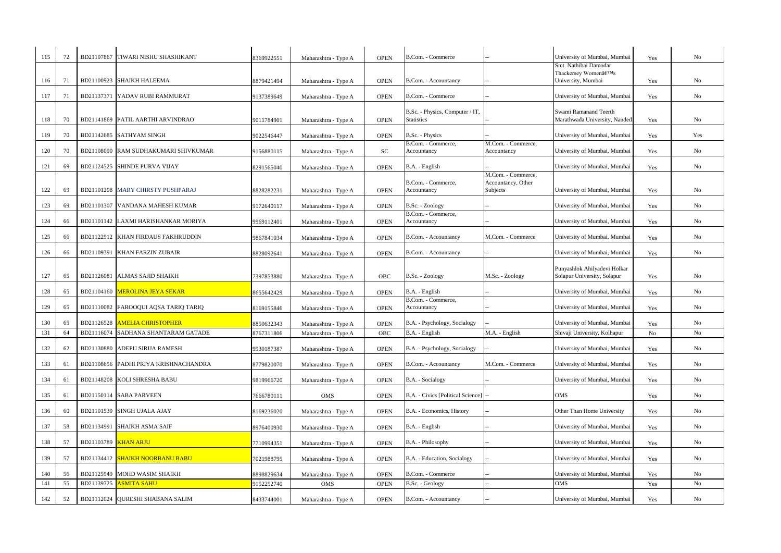| 115 | 72 | BD21107867                  | <b>TIWARI NISHU SHASHIKANT</b>           | 8369922551 | Maharashtra - Type A | <b>OPEN</b> | B.Com. - Commerce                                    |                                                      | University of Mumbai, Mumbai                           | Yes | No             |
|-----|----|-----------------------------|------------------------------------------|------------|----------------------|-------------|------------------------------------------------------|------------------------------------------------------|--------------------------------------------------------|-----|----------------|
|     |    |                             |                                          |            |                      |             |                                                      |                                                      | Smt. Nathibai Damodar                                  |     |                |
| 116 | 71 |                             | BD21100923 SHAIKH HALEEMA                | 8879421494 | Maharashtra - Type A | <b>OPEN</b> | B.Com. - Accountancy                                 |                                                      | Thackersey Women's<br>University, Mumbai               | Yes | No             |
| 117 | 71 | BD21137371                  | YADAV RUBI RAMMURAT                      | 9137389649 | Maharashtra - Type A | <b>OPEN</b> | B.Com. - Commerce                                    |                                                      | University of Mumbai, Mumbai                           | Yes | No             |
|     |    |                             |                                          |            |                      |             |                                                      |                                                      |                                                        |     |                |
| 118 | 70 |                             | BD21141869 PATIL AARTHI ARVINDRAO        | 9011784901 | Maharashtra - Type A | <b>OPEN</b> | B.Sc. - Physics, Computer / IT,<br><b>Statistics</b> |                                                      | Swami Ramanand Teerth<br>Marathwada University, Nanded | Yes | No             |
| 119 | 70 |                             | BD21142685 SATHYAM SINGH                 | 9022546447 | Maharashtra - Type A | <b>OPEN</b> | B.Sc. - Physics                                      |                                                      | University of Mumbai, Mumbai                           | Yes | Yes            |
| 120 | 70 |                             | BD21108090 RAM SUDHAKUMARI SHIVKUMAR     | 9156880115 | Maharashtra - Type A | ${\rm SC}$  | B.Com. - Commerce,<br>Accountancy                    | M.Com. - Commerce,<br>Accountancy                    | University of Mumbai, Mumbai                           | Yes | No             |
| 121 | 69 |                             | BD21124525 SHINDE PURVA VIJAY            | 8291565040 | Maharashtra - Type A | <b>OPEN</b> | B.A. - English                                       |                                                      | University of Mumbai, Mumbai                           | Yes | No             |
| 122 | 69 |                             | <b>BD21101208 MARY CHIRSTY PUSHPARAJ</b> | 8828282231 | Maharashtra - Type A | <b>OPEN</b> | B.Com. - Commerce,<br>Accountancy                    | M.Com. - Commerce,<br>Accountancy, Other<br>Subjects | University of Mumbai, Mumbai                           | Yes | No             |
|     |    |                             |                                          |            |                      |             |                                                      |                                                      |                                                        |     |                |
| 123 | 69 |                             | BD21101307 VANDANA MAHESH KUMAR          | 9172640117 | Maharashtra - Type A | <b>OPEN</b> | B.Sc. - Zoology<br>B.Com. - Commerce,                |                                                      | University of Mumbai, Mumbai                           | Yes | No             |
| 124 | 66 |                             | BD21101142 LAXMI HARISHANKAR MORIYA      | 9969112401 | Maharashtra - Type A | <b>OPEN</b> | Accountancy                                          |                                                      | University of Mumbai, Mumbai                           | Yes | No             |
| 125 | 66 |                             | BD21122912 KHAN FIRDAUS FAKHRUDDIN       | 9867841034 | Maharashtra - Type A | <b>OPEN</b> | B.Com. - Accountancy                                 | M.Com. - Commerce                                    | University of Mumbai, Mumbai                           | Yes | No             |
| 126 | 66 | BD21109391                  | <b>KHAN FARZIN ZUBAIR</b>                | 8828092641 | Maharashtra - Type A | <b>OPEN</b> | <b>B.Com.</b> - Accountancy                          |                                                      | University of Mumbai, Mumbai                           | Yes | N <sub>o</sub> |
|     |    |                             |                                          |            |                      |             |                                                      |                                                      | Punyashlok Ahilyadevi Holkar                           |     |                |
| 127 | 65 | BD21126081                  | ALMAS SAJID SHAIKH                       | 7397853880 | Maharashtra - Type A | OBC         | B.Sc. - Zoology                                      | M.Sc. - Zoology                                      | Solapur University, Solapur                            | Yes | N <sub>0</sub> |
| 128 | 65 |                             | BD21104160 MEROLINA JEYA SEKAR           | 8655642429 | Maharashtra - Type A | <b>OPEN</b> | B.A. - English                                       |                                                      | University of Mumbai, Mumbai                           | Yes | No             |
| 129 | 65 |                             | BD21110082 FAROOQUI AQSA TARIQ TARIQ     | 8169155846 | Maharashtra - Type A | <b>OPEN</b> | B.Com. - Commerce,<br>Accountancy                    |                                                      | University of Mumbai, Mumbai                           | Yes | No             |
| 130 | 65 |                             | BD21126528 AMELIA CHRISTOPHER            | 8850632343 | Maharashtra - Type A | <b>OPEN</b> | B.A. - Psychology, Socialogy                         |                                                      | University of Mumbai, Mumbai                           | Yes | No             |
| 131 | 64 | BD21116074                  | SADHANA SHANTARAM GATADE                 | 8767311806 | Maharashtra - Type A | OBC         | B.A. - English                                       | M.A. - English                                       | Shivaji University, Kolhapur                           | No  | No             |
| 132 | 62 |                             | BD21130880 ADEPU SIRIJA RAMESH           | 9930187387 | Maharashtra - Type A | <b>OPEN</b> | B.A. - Psychology, Socialogy                         |                                                      | University of Mumbai, Mumbai                           | Yes | $\rm No$       |
| 133 | 61 |                             | BD21108656 PADHI PRIYA KRISHNACHANDRA    | 8779820070 | Maharashtra - Type A | <b>OPEN</b> | B.Com. - Accountancy                                 | M.Com. - Commerce                                    | University of Mumbai, Mumbai                           | Yes | No             |
| 134 | 61 |                             | BD21148208 KOLI SHRESHA BABU             | 9819966720 | Maharashtra - Type A | <b>OPEN</b> | B.A. - Socialogy                                     |                                                      | University of Mumbai, Mumbai                           | Yes | No             |
| 135 | 61 |                             | BD21150114 SABA PARVEEN                  | 7666780111 | OMS                  | <b>OPEN</b> | B.A. - Civics [Political Science] --                 |                                                      | OMS                                                    | Yes | No             |
| 136 | 60 |                             | BD21101539 SINGH UJALA AJAY              | 8169236020 | Maharashtra - Type A | <b>OPEN</b> | B.A. - Economics, History                            |                                                      | Other Than Home University                             | Yes | No             |
| 137 | 58 |                             | BD21134991 SHAIKH ASMA SAIF              | 8976400930 | Maharashtra - Type A | <b>OPEN</b> | B.A. - English                                       |                                                      | University of Mumbai, Mumbai                           | Yes | No             |
| 138 | 57 | <b>BD21103789</b> KHAN ARJU |                                          | 7710994351 | Maharashtra - Type A | <b>OPEN</b> | B.A. - Philosophy                                    |                                                      | University of Mumbai, Mumbai                           | Yes | No             |
| 139 | 57 |                             | BD21134412 SHAIKH NOORBANU BABU          | 7021988795 | Maharashtra - Type A | <b>OPEN</b> | B.A. - Education, Socialogy                          |                                                      | University of Mumbai, Mumbai                           | Yes | No             |
| 140 | 56 |                             | BD21125949 MOHD WASIM SHAIKH             | 8898829634 | Maharashtra - Type A | <b>OPEN</b> | B.Com. - Commerce                                    |                                                      | University of Mumbai, Mumbai                           | Yes | No             |
| 141 | 55 |                             | BD21139725 ASMITA SAHU                   | 9152252740 | OMS                  | <b>OPEN</b> | B.Sc. - Geology                                      |                                                      | OMS                                                    | Yes | No             |
| 142 | 52 |                             | BD21112024 QURESHI SHABANA SALIM         |            |                      |             | B.Com. - Accountancy                                 |                                                      | University of Mumbai, Mumbai                           |     | No             |
|     |    |                             |                                          | 8433744001 | Maharashtra - Type A | <b>OPEN</b> |                                                      |                                                      |                                                        | Yes |                |